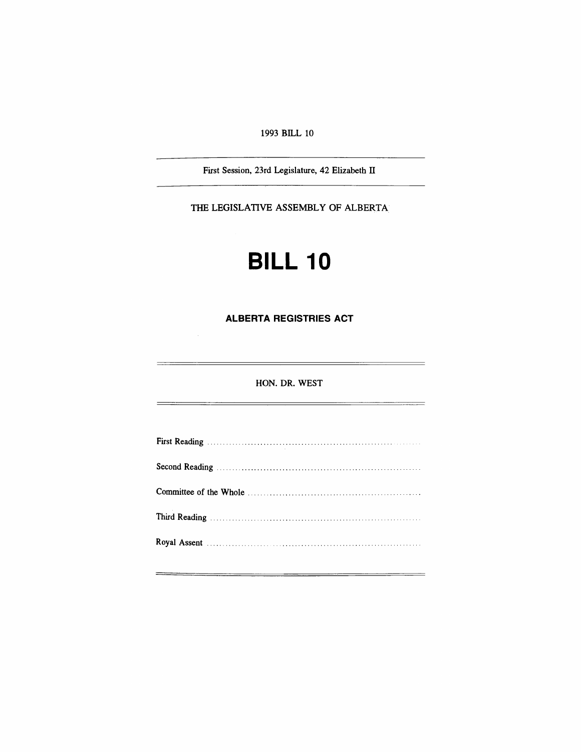1993 BILL 10

First Session, 23rd Legislature, 42 Elizabeth IT

THE LEGISLATIVE ASSEMBLY OF ALBERTA

# **BILL 10**

**ALBERTA REGISTRIES ACT**

HON. DR. WEST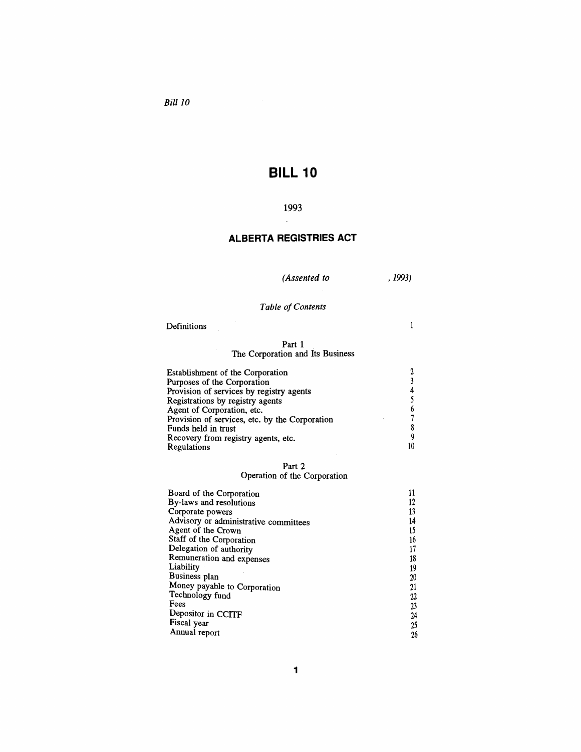*Bill 10*

# **BILL 10**

## 1993

# **ALBERTA REGISTRIES ACT**

*(Assented to*

,1993)

# **Table** of Contents

#### Definitions

 $\frac{1}{2}$ 

 $\mathbf{1}$ 

#### Part 1 The Corporation and Its Business

| Establishment of the Corporation               |  |
|------------------------------------------------|--|
| Purposes of the Corporation                    |  |
| Provision of services by registry agents       |  |
| Registrations by registry agents               |  |
| Agent of Corporation, etc.                     |  |
| Provision of services, etc. by the Corporation |  |
| Funds held in trust                            |  |
| Recovery from registry agents, etc.            |  |
| Regulations                                    |  |

#### Part 2

#### Operation of the Corporation

| Board of the Corporation              |    |
|---------------------------------------|----|
| By-laws and resolutions               |    |
| Corporate powers                      | 13 |
| Advisory or administrative committees | 14 |
| Agent of the Crown                    | 15 |
| Staff of the Corporation              | 16 |
| Delegation of authority               |    |
| Remuneration and expenses             | 18 |
| Liability                             | 19 |
| Business plan                         | 20 |
| Money payable to Corporation          | 21 |
| Technology fund                       | 22 |
| Fees                                  | 23 |
| Depositor in CCITF                    | 24 |
| Fiscal year                           | 25 |
| Annual report                         | 26 |
|                                       |    |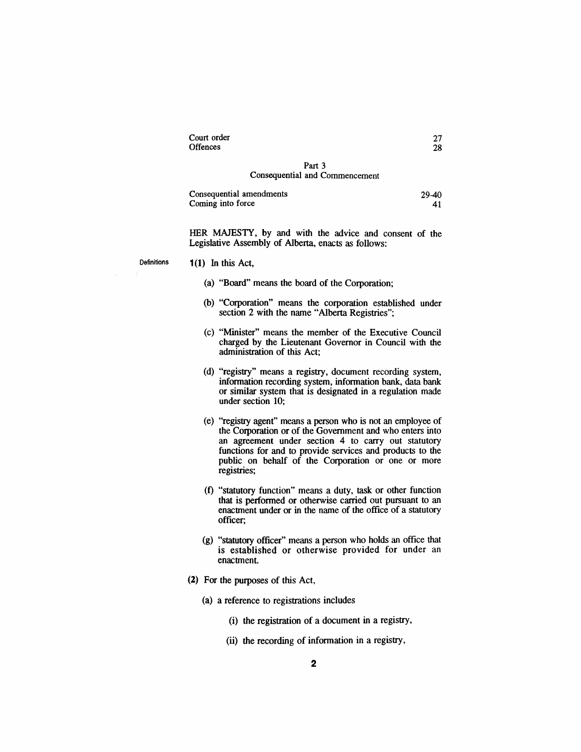| Court order | 27 |
|-------------|----|
| Offences    | 28 |
|             |    |

#### Part 3 Consequential and Commencement

| Consequential amendments | $29 - 40$ |
|--------------------------|-----------|
| Coming into force        |           |

HER MAJESTY, by and with the advice and consent of the Legislative Assembly of Alberta, enacts as follows:

Definitions

#### 1(1) In this Act,

- (a) "Board" means the board of the Corporation;
- (b) "Corporation" means the corporation established under section 2 with the name "Alberta Registries";
- (c) "Minister" means the member of the Executive Council charged by the Lieutenant Governor in Council with the administration of this Act;
- (d) "registry" means a registry, document recording system, information recording system, information bank, data bank or similar system that is designated in a regulation made under section 10;
- (e) "registry agent" means a person who is not an employee of the Corporation or of the Government and who enters into an agreement under section 4 to carry out statutory functions for and to provide services and products to the public on behalf of the Corporation or one or more registries;
- (f) "statutory function" means a duty, task or other function that is performed or otherwise carried out pursuant to an enactment under or in the name of the office of a statutory officer;
- (g) "statutory officer" means a person who holds an office that is established or otherwise provided for under an enactment
- (2) For the purposes of this Act,
	- (a) a reference to registrations includes
		- (i) the registration of a document in a registry,
		- (ii) the recording of information in a registry,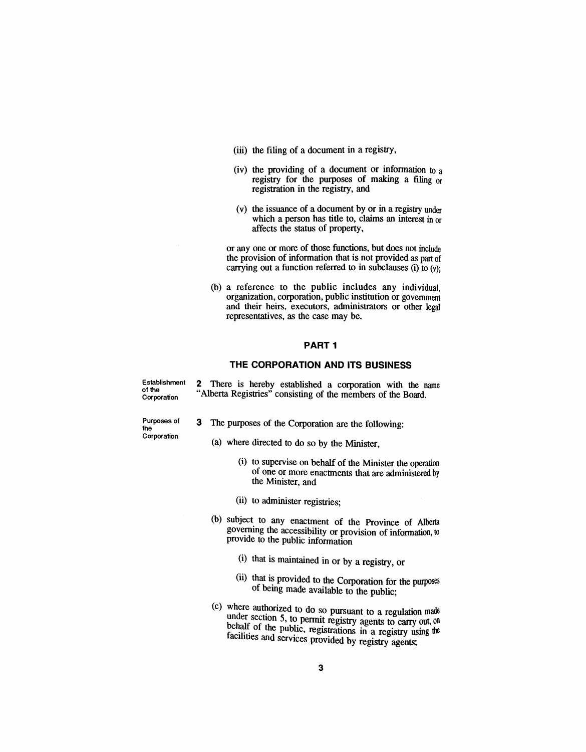- (iii) the filing of a document in a registry,
- (iv) the providing of a docwnent or information to a registry for the purposes of making a filing or registration in the registry, and
- (v) the issuance of a document by or in a registry under which a person has title to, claims an interest in or affects the status of property,

or anyone or more of those functions, but does not include the provision of information that is not provided as part of carrying out a function referred to in subclauses (i) to  $(y)$ ;

(b) a reference to the public includes any individual, organization, corporation, public institution or government and their heirs, executors, administrators or other legal representatives, as the case may be.

#### **PART 1**

#### **THE CORPORATION AND ITS BUSINESS**

Establishment of the Corporation

2 There is hereby established a corporation with the name "Alberta Registries" consisting of the members of the Board.

Purposes of the Corporation

- 3 The purposes of the Corporation are the following:
	- (a) where directed to do so by the Minister,
		- (i) to supervise on behalf of the Minister the operation of one or more enactments that are administered by the Minister, and
		- (ii) to administer registries;
	- (b) subject to any enactment of the Province of Alberta governing the accessibility or provision of information, to provide to the public information
		- (i) that is maintained in or by a registry, or
		- (ii) that is provided to the Corporation for the purposes of bemg made available to the public;
	- $(c)$  where authorized to do so pursuant to a regulation made under section 5, to permit registry agents to carry out, on behalf of the public, registrations in a registry using the facilities and services provided by registry agents;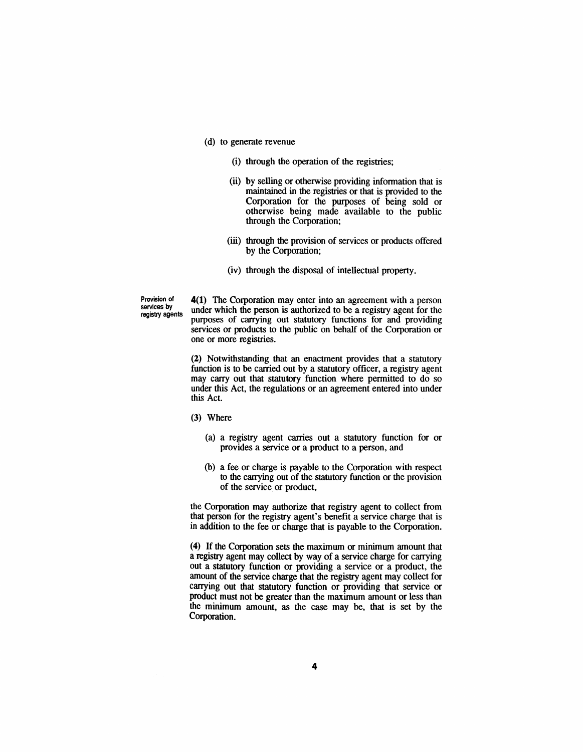- (d) to generate revenue
	- (i) through the operation of the registries;
	- (ii) by selling or otherwise providing information that is maintained in the registries or that is provided to the Corporation for the purposes of being sold or otherwise being made available to the public through the Corporation;
	- (iii) through the provision of services or products offered by the Corporation;
	- (iv) through the disposal of intellectual property.

Provision of services by registry agents 4(1) The Corporation may enter into an agreement with a person under which the person is authorized to be a registry agent for the purposes of carrying out statutory functions for and providing services or products to the public on behalf of the Corporation or one or more registries.

(2) Notwithstanding that an enactment provides that a statutory function is to be carried out by a statutory officer, a registry agent may carry out that statutory function where permitted to do so under this Act, the regulations or an agreement entered into under this Act.

- (3) Where
	- (a) a registry agent carries out a statutory function for or provides a service or a product to a person, and
	- (b) a fee or charge is payable to the Corporation with respect to the carrying out of the statutory function or the provision of the service or product,

the Corporation may authorize that registry agent to collect from that person for the registry agent's benefit a service charge that is in addition to the fee or charge that is payable to the Corporation.

(4) If the Corporation sets the maximum or minimum amount that a registry agent may collect by way of a service charge for carrying out a statutory function or providing a service or a product, the amount of the service charge that the registry agent may collect for carrying out that statutory function or providing that service or product must not be greater than the maximum amount or less than the minimum amount, as the case may be, that is set by the Corporation.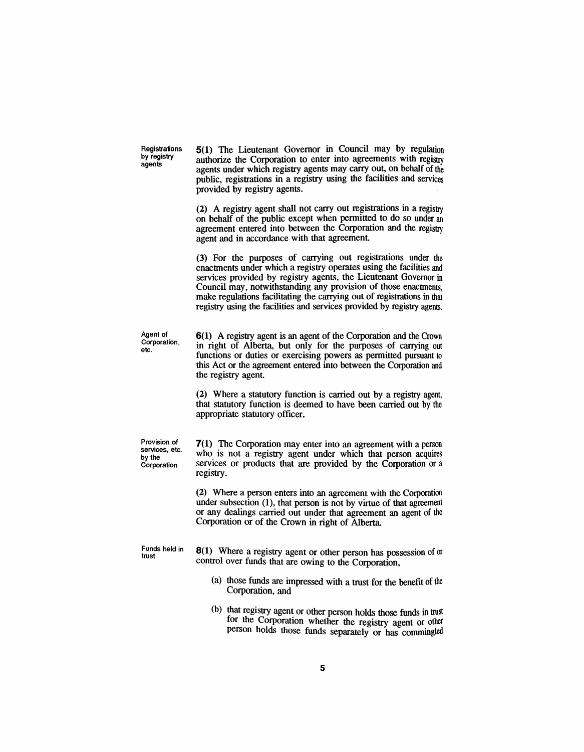**Registrations** by registry agents

5(1) The Lieutenant Governor in Council may by regulation authorize the Corporation to enter into agreements with registry agents under which registry agents may carry out, on behalf of the public, registrations in a registry using the facilities and services provided by registry agents.

(2) A registry agent shall not carry out registrations in a registry on behalf of the public except when permitted to do so under an agreement entered into between the Corporation and the registry agent and in accordance with that agreement.

(3) For the purposes of carrying out registrations under the enactments under which a registry operates using the facilities and services provided by registry agents, the Lieutenant Governor in Council may, notwithstanding any provision of those enactments, make regulations facilitating the carrying out of registrations in that registry using the facilities and services provided by registry agents.

Agent of Corporation, etc.

6(1) A registry agent is an agent of the Corporation and the Crown in right of Alberta, but only for the purposes of carrying out functions or duties or exercising powers as permitted pursuant to this Act or the agreement entered into between the Corporation and the registry agent.

(2) Where a statutory function is carried out by a registry agent, that statutory function is deemed to have been carried out by the appropriate statutory officer.

Provision of services, etc. by the Corporation

7(1) The Corporation may enter into an agreement with a person who is not a registry agent under which that person acquires services or products that are provided by the Corporation or a registry.

(2) Where a person enters into an agreement with the Corporation under subsection (1), that person is not by virtue of that agreement or any dealings carried out under that agreement an agent of the Corporation or of the Crown in right of Alberta.

Funds held in trust

8(1) Where a registry agent or other person has possession of or control over funds that are owing to the Corporation,

- (a) those funds are impressed with a trust for the benefit of the Corporation, and
- (b) that registry agent or other person holds those funds in trust for the Corporation whether the registry agent or other person holds those funds separately or has commingled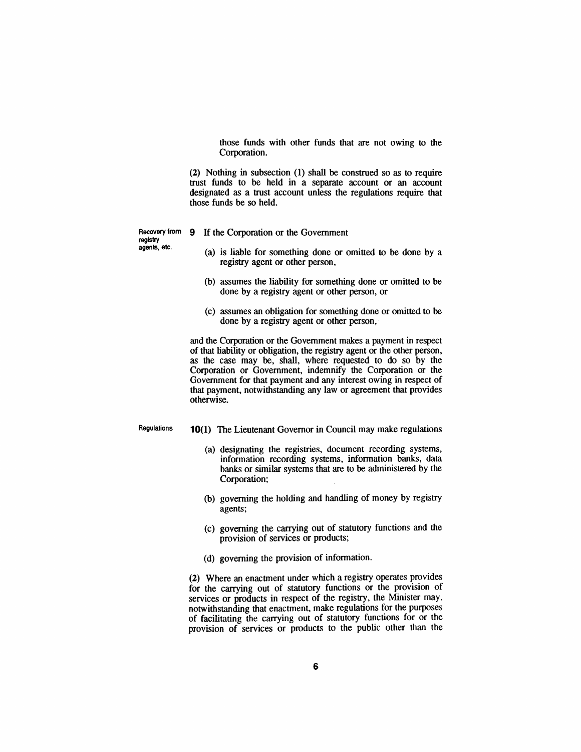those funds with other funds that are not owing to the Corporation.

(2) Nothing in subsection (1) shall be construed so as to require trust funds to be held in a separate account or an account designated as a trust account unless the regulations require that those funds be so held.

registry agents, etc.

- Recovery from 9 If the Corporation or the Government
	- (a) is liable for something done or omitted to be done by a registry agent or other person,
	- (b) assumes the liability for something done or omitted to be done by a registry agent or other person, or
	- (c) assumes an obligation for something done or omitted to be done by a registry agent or other person,

and the Corporation or the Government makes a payment in respect of that liability or obligation, the registry agent or the other person, as the case may be, shall, where requested to do so by the Corporation or Government, indemnify the Corporation or the Government for that payment and any interest owing in respect of that payment, notwithstanding any law or agreement that provides otherwise.

Regulations

- 10(1) The Lieutenant Governor in Council may make regulations
	- (a) designating the registries, document recording systems, information recording systems, information banks, data banks or similar systems that are to be administered by the Corporation;
	- (b) governing the holding and handling of money by registry agents;
	- (c) governing the carrying out of statutory functions and the provision of services or products;
	- (d) governing the provision of information.

(2) Where an enactment under which a registry operates provides for the carrying out of statutory functions or the provision of services or products in respect of the registry, the Minister may. notwithstanding that enactment. make regulations for the purposes of facilitating the carrying out of statutory functions for or the provision of services or products to the public other than the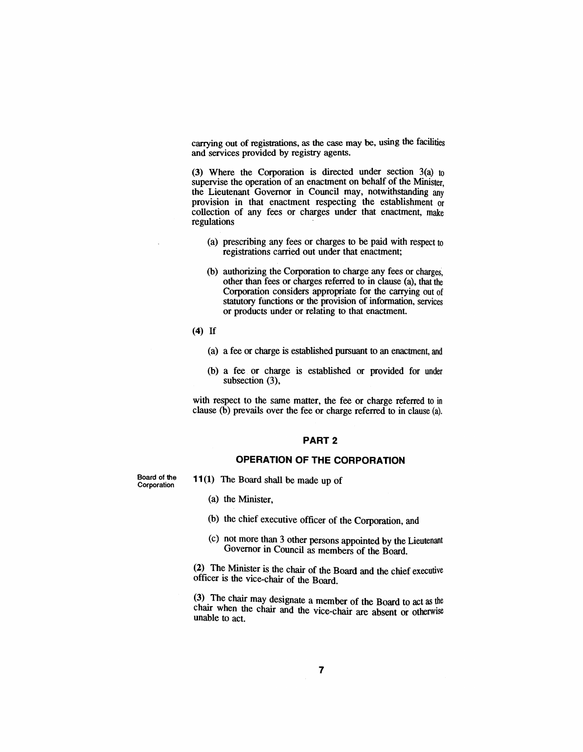carrying out of registrations, as the case may be, using the facilities and services provided by registry agents.

(3) Where the Corporation is directed under section 3(a) to supervise the operation of an enactment on behalf of the Minister, the Lieutenant Governor in Council may, notwithstanding any provision in that enactment respecting the establishment or collection of any fees or charges under that enactment, make regulations

- (a) prescribing any fees or charges to be paid with respect to registrations carried out under that enactment;
- (b) authorizing the Corporation to charge any fees or charges, other than fees or charges referred to in clause (a), that the Corporation considers appropriate for the carrying out of statutory functions or the provision of information, services or products under or relating to that enactment.
- (4) If
	- (a) a fee or charge is established pursuant to an enactment, and
	- (b) a fee or charge is established or provided for under subsection (3),

with respect to the same matter, the fee or charge referred to in clause (b) prevails over the fee or charge referred to in clause (a).

#### PART 2

### **OPERATION OF THE CORPORATION**

Board of the **Corporation** 

- **11(1)** The Board shall be made up of
	- (a) the Minister,
	- (b) the chief executive officer of the Corporation, and
	- (c) not more than 3 other persons appointed by the Lieutenant Governor in Council as members of the Board.

(2) The Minister is the chair of the Board and the chief executive officer is the vice-chair of the Board.

(3) The chair may designate a member of the Board to act as the charr when the chair and the vice-chair are absent or otherwise unable to act.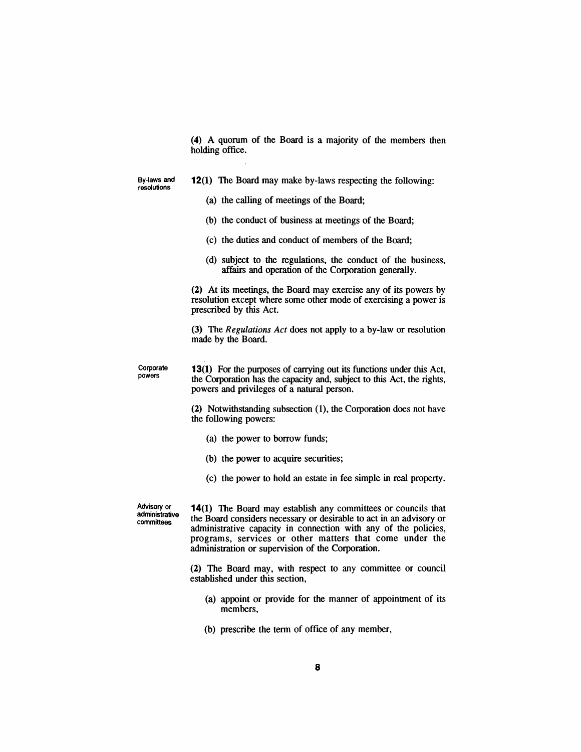(4) A quorum of the Board is a majority of the members then holding office.

By-laws and resolutions

#### 12(1) The Board may make by-laws respecting the following:

- (a) the calling of meetings of the Board;
- (b) the conduct of business at meetings of the Board;
- (c) the duties and conduct of members of the Board;
- (d) subject to the regulations, the conduct of the business, affairs and operation of the Corporation generally.

(2) At its meetings, the Board may exercise any of its powers by resolution except where some other mode of exercising a power is prescribed by this Act.

(3) The *Regulations Act* does not apply to a by-law or resolution made by the Board.

Corporate 13(1) For the purposes of carrying out its functions under this Act, the Corporation has the capacity and, subject to this Act, the rights, powers and privileges of a natural person.

> (2) Notwithstanding subsection (1), the Corporation does not have the following powers:

- (a) the power to borrow funds;
- (b) the power to acquire securities;
- (c) the power to hold an estate in fee simple in real property.

Advisory or administrative committees

powers

**14(1)** The Board may establish any committees or councils that the Board considers necessary or desirable to act in an advisory or administrative capacity in connection with any of the policies, programs, services or other matters that come under the administration or supervision of the Corporation.

(2) The Board may, with respect to any committee or council established under this section,

- (a) appoint or provide for the manner of appointment of its members,
- (b) prescribe the term of office of any member,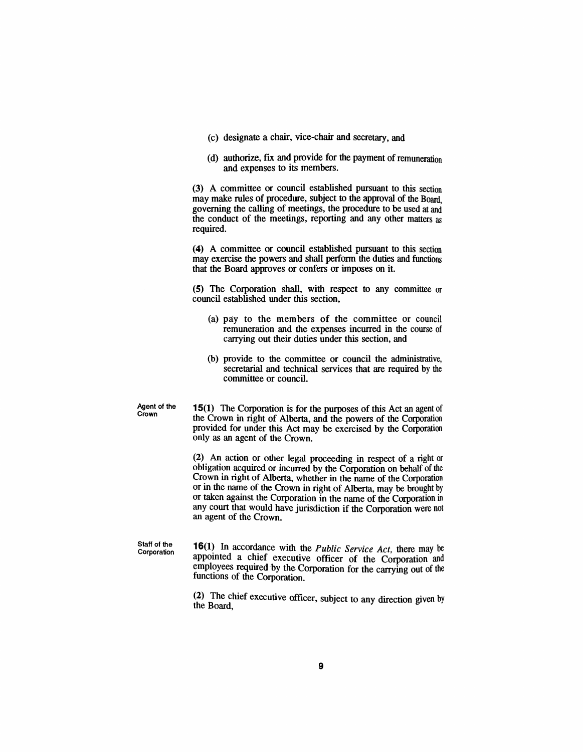- (c) designate a chair, vice-chair and secretary, and
- (d) authorize, fix and provide for the payment of remuneration and expenses to its members.

(3) A committee or council established pursuant to this section may make rules of procedure, subject to the approval of the Board governing the calling of meetings, the procedure to be used at and the conduct of the meetings, reporting and any other matters as required.

(4) A committee or council established pursuant to this section may exercise the powers and shall perform the duties and functions that the Board approves or confers or imposes on it.

(5) The Corporation shall, with respect to any committee or council established under this section,

- (a) pay to the members of the committee or council remuneration and the expenses incurred in the course of carrying out their duties under this section, and
- (b) provide to the committee or council the administrative, secretarial and technical services that are required by the committee or council.

Agent of the **Crown** 

15(1) The Corporation is for the purposes of this Act an agent of the Crown in right of Alberta, and the powers of the Corporation provided for under this Act may be exercised by the Corporation only as an agent of the Crown.

(2) An action or other legal proceeding in respect of a right or obligation acquired or incurred by the Corporation on behalf of the Crown in right of Alberta, whether in the name of the Corporation or in the name of the Crown in right of Alberta, may be brought by or taken against the Corporation in the name of the Corporation in any court that would have jurisdiction if the Corporation were not an agent of the Crown.

Staff of the Corporation 16(1) In accordance with the *Public Service Act,* there may be appointed a chief executive officer of the Corporation and employees required by the Corporation for the carrying out of the functions of the Corporation.

(2) The chief executive officer, subject to any direction given by the Board,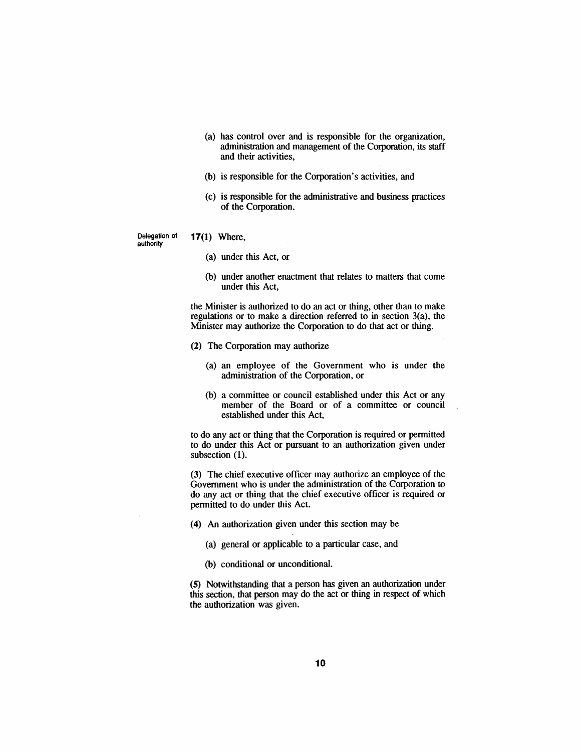- (a) has control over and is responsible for the organization, administration and management of the Corporation, its staff and their activities,
- (b) is responsible for the Corporation's activities, and
- (c) is responsible for the administrative and business practices of the Corporation.

authority

- Delegation of 17(1) Where,
	- (a) under this Act, or
	- (b) under another enactment that relates to matters that come under this Act,

the Minister is authorized to do an act or thing, other than to make regulations or to make a direction referred to in section 3(a), the Minister may authorize the Corporation to do that act or thing.

- (2) The Corporation may authorize
	- (a) an employee of the Government who is under the administration of the Corporation, or
	- (b) a committee or council established under this Act or any member of the Board or of a committee or council established under this Act,

to do any act or thing that the Corporation is required or permitted to do under this Act or pursuant to an authorization given under subsection (1).

(3) The chief executive officer may authorize an employee of the Government who is under the administration of the Corporation to do any act or thing that the chief executive officer is required or permitted to do under this Act.

(4) An authorization given under this section may be

- (a) general or applicable to a particular case, and
- (b) conditional or unconditional.

(5) Notwithstanding that a person has given an authorization under this section, that person may do the act or thing in respect of which the authorization was given.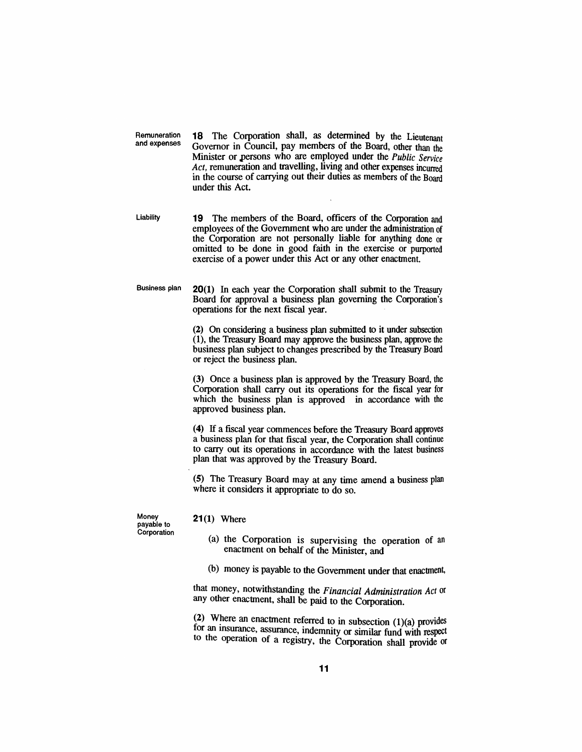Remuneration **18** The Corporation shall, as determined by the Lieutenant and expenses Governor in Council nay members of the Board other than the Governor in Council, pay members of the Board, other than the Minister or persons who are employed under the *Public Service Act,* remuneration and travelling, living and other expenses incurred in the course of carrying out their duties as members of the Board under this Act.

Liability **19** The members of the Board, officers of the Corporation and employees of the Government who are under the administration of the Corporation are not personally liable for anything done or omitted to be done in good faith in the exercise or purported exercise of a power under this Act or any other enactment.

Business plan 20(1) In each year the Corporation shall submit to the Treasury Board for approval a business plan governing the Corporation's operations for the next fiscal year.

> (2) On considering a business plan submitted to it under subsection (1), the Treasury Board may approve the business plan, approve the business plan subject to changes prescribed by the Treasury Board or reject the business plan.

> (3) Once a business plan is approved by the Treasury Board, the Corporation shall carry out its operations for the fiscal year for which the business plan is approved in accordance with the approved business plan.

> (4) If a fiscal year commences before the Treasury Board approves a business plan for that fiscal year, the Corporation shall continue to carry out its operations in accordance with the latest business plan that was approved by the Treasury Board.

> (5) The Treasury Board may at any time amend a business plan where it considers it appropriate to do so.

Money payable to Corporation

#### 21(1) Where

- (a) the Corporation is supervising the operation of an enactment on behalf of the Minister, and
- (b) money is payable to the Government under that enactment,

that money, notwithstanding the *Financial Administration Act* or any other enactment, shall be paid to the Corporation.

(2) Where an enactment referred to in subsection  $(1)(a)$  provides for an insurance, assurance, indemnity or similar fund with respect to the operation of a registry, the Corporation shall provide or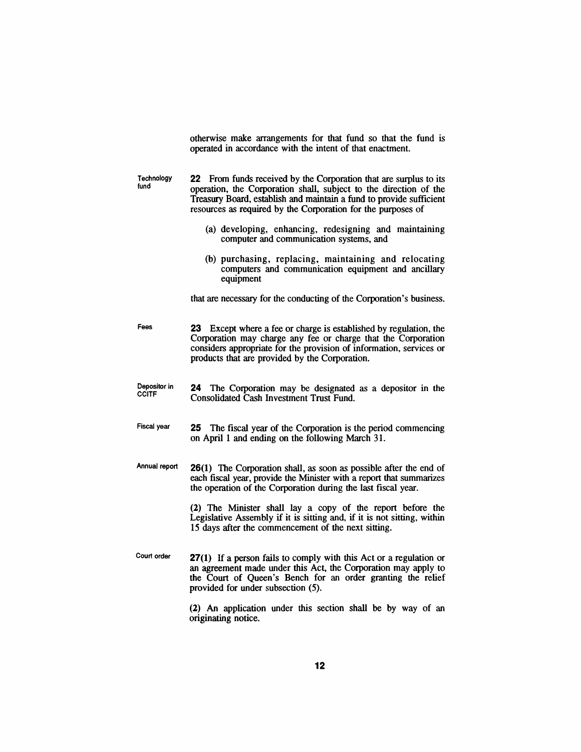|                              | otherwise make arrangements for that fund so that the fund is<br>operated in accordance with the intent of that enactment.                                                                                                                                                    |
|------------------------------|-------------------------------------------------------------------------------------------------------------------------------------------------------------------------------------------------------------------------------------------------------------------------------|
| Technology<br>fund           | 22 From funds received by the Corporation that are surplus to its<br>operation, the Corporation shall, subject to the direction of the<br>Treasury Board, establish and maintain a fund to provide sufficient<br>resources as required by the Corporation for the purposes of |
|                              | (a) developing, enhancing, redesigning and maintaining<br>computer and communication systems, and                                                                                                                                                                             |
|                              | (b) purchasing, replacing, maintaining and relocating<br>computers and communication equipment and ancillary<br>equipment                                                                                                                                                     |
|                              | that are necessary for the conducting of the Corporation's business.                                                                                                                                                                                                          |
| Fees                         | Except where a fee or charge is established by regulation, the<br>23 -<br>Corporation may charge any fee or charge that the Corporation<br>considers appropriate for the provision of information, services or<br>products that are provided by the Corporation.              |
| Depositor in<br><b>CCITF</b> | The Corporation may be designated as a depositor in the<br>24<br><b>Consolidated Cash Investment Trust Fund.</b>                                                                                                                                                              |
| <b>Fiscal year</b>           | The fiscal year of the Corporation is the period commencing<br>25<br>on April 1 and ending on the following March 31.                                                                                                                                                         |
| Annual report                | <b>26(1)</b> The Corporation shall, as soon as possible after the end of<br>each fiscal year, provide the Minister with a report that summarizes<br>the operation of the Corporation during the last fiscal year.                                                             |
|                              | (2) The Minister shall lay a copy of the report before the<br>Legislative Assembly if it is sitting and, if it is not sitting, within<br>15 days after the commencement of the next sitting.                                                                                  |
| Court order                  | <b>27(1)</b> If a person fails to comply with this Act or a regulation or<br>an agreement made under this Act, the Corporation may apply to<br>the Court of Queen's Bench for an order granting the relief<br>provided for under subsection (5).                              |
|                              | (2) An application under this section shall be by way of an<br>originating notice.                                                                                                                                                                                            |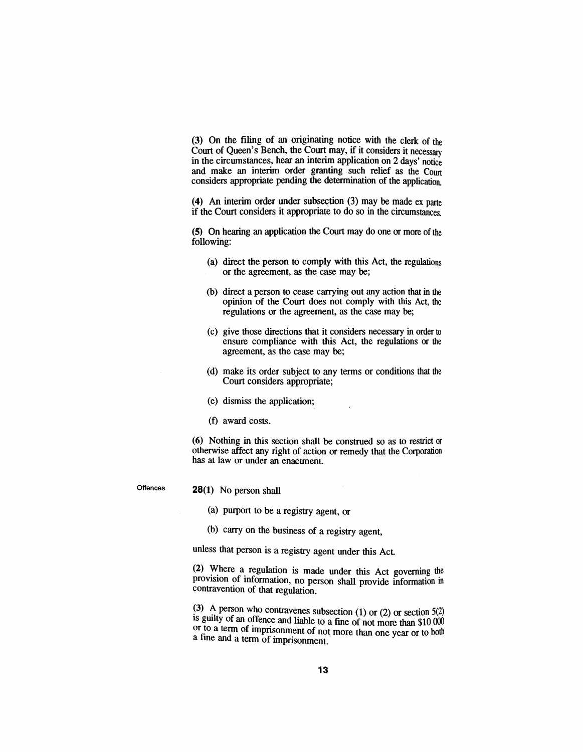(3) On the filing of an originating notice with the clerk of the Court of Queen's Bench, the Court may, if it considers it necessary in the circumstances, hear an interim application on 2 days' notice and make an interim order granting such relief as the Court considers appropriate pending the determination of the application.

(4) An interim order under subsection  $(3)$  may be made ex parte if the Court considers it appropriate to do so in the circumstances.

(5) On hearing an application the Court may do one or more of the following:

- (a) direct the person to comply with this Act, the regulations or the agreement, as the case may be;
- (b) direct a person to cease carrying out any action that in the opinion of the Court does not comply with this Act, the regulations or the agreement, as the case may be;
- (c) give those directions that it considers necessary in order to ensure compliance with this Act, the regulations or the agreement, as the case may be;
- (d) make its order subject to any terms or conditions that the Court considers appropriate;
- (e) dismiss the application;
- (t) award costs.

(6) Nothing in this section shall be construed so as to restrict or otherwise affect any right of action or remedy that the Corporation has at law or under an enactment.

**Offences** 

#### 28(1) No person shall

(a) purport to be a registry agent, or

(b) carry on the business of a registry agent,

unless that person is a registry agent under this Act

(2) Where a regulation is made under this Act governing the provision of information, no person shall provide information in contravention of that regulation.

(3) A person who contravenes subsection (1) or (2) or section  $5(2)$ is guilty of an offence and liable to a fine of not more than  $$10,000$ or to a term of imprisonment of not more than one year or to both a fine and a term of imprisonment.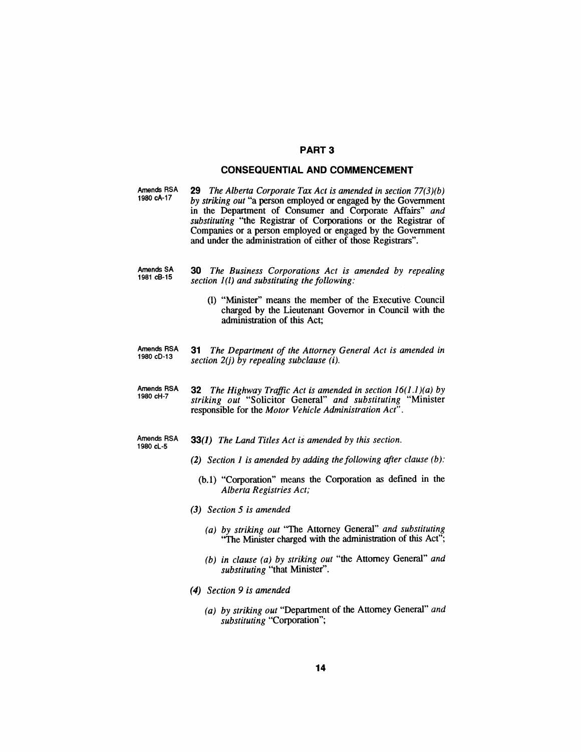#### PART 3

#### **CONSEQUENTIAL AND COMMENCEMENT**

| Amends RSA<br>1980 cA-17 | <b>29</b> The Alberta Corporate Tax Act is amended in section $77(3)(b)$ |
|--------------------------|--------------------------------------------------------------------------|
|                          | by striking out "a person employed or engaged by the Government          |
|                          | in the Department of Consumer and Corporate Affairs" and                 |
|                          | <i>substituting</i> "the Registrar of Corporations or the Registrar of   |
|                          | Companies or a person employed or engaged by the Government              |
|                          | and under the administration of either of those Registrars".             |

- Amends SA 1981 cB-15 **30** *The Business Corporations Act is amended by repealing section 1(1) and substituting the following:*
	- (1) "Minister" means the member of the Executive Council charged by the Lieutenant Governor in Council with the administration of this Act;
- Amends RSA 1980 cD-13 **31** *The Department of the Attorney General Act is amended in section 2(j) by repealing subclause (i).*
- Amends RSA 1980 cH-7 **32** *The Highway Traffic Act is amended in section* 16(1.1)(*a) by striking out* "Solicitor General" *and substituting* "Minister responsible for the *Motor Vehicle Administration Act".*
- Amends RSA 1980 cL-5 **33(1)** *The Land Titles Act is amended by this section.*
	- *(2) Section* 1 *is amended by adding the following after clause (b):*
		- (b.I) "Corporation" means the Corporation as defined in the *Alberta Registries Act;*
	- *(3) Section* 5 *is amended*
		- *(a) by striking out* "The Attorney General" *and substituting* ''The Minister charged with the administration of this Act";
		- *(b) in clause (a) by striking out* "the Attorney General" *and substituting* "that Minister".
	- *(4) Section* 9 *is amended*
		- *(a) by striking out* "Department of the Attorney General" *and substituting* "Corporation";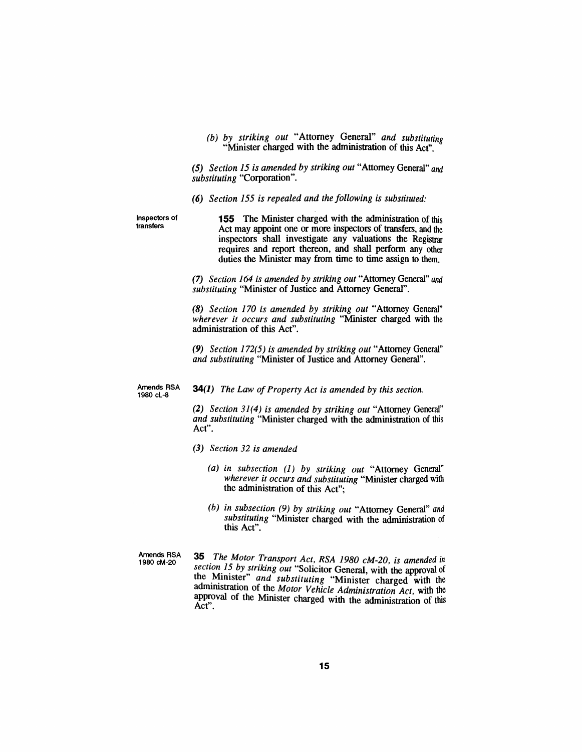*(b) by striking out* "Attorney General" *and substituting* "Minister charged with the administration of this Act".

*(5) Section* 15 *is amended by striking out* "Attorney General" *and substituting* "Corporation".

*(6) Section* 155 *is repealed and the following is substituted:*

Inspectors of transfers

**155** The Minister charged with the administration of this Act may appoint one or more inspectors of transfers, and the inspectors shall investigate any valuations the Registrar requires and report thereon, and shall perform any other duties the Minister may from time to time assign to them.

*(7) Section* 164 *is amended by striking out* "Attorney General" *and substituting* "Minister of Justice and Attorney General".

*(8) Section 170 is amended by striking out* "Attorney General" *wherever it occurs and substituting* "Minister charged with the administration of this Act".

*(9) Section* 172(5) *is amended by striking out* "Attorney General" *and substituting* "Minister of Justice and Attorney General".

1980 cL-8

Amends RSA 34(1) *The Law of Property Act is amended by this section.* 

*(2) Section* 31(4) *is amended by striking out* "Attorney General" *and substituting* "Minister charged with the administration of this Act".

- *(3) Section* 32 *is amended*
	- *(a) in subsection* (1) *by striking out* "Attorney General" *wherever it occurs and substituting* "Minister charged with the administration of this Act";
	- *(b) in subsection* (9) *by striking out* "Attorney General" *and substituting* "Minister charged with the administration of this Act".

Amends RSA<br>1980 cM-20

<sup>1980</sup> cM-20 **35** *The Motor Transport Act, RSA 1980 cM-20, is amended in section 15 by striking out* "Solicitor General, with the approval of the Minister" and *substituting* "Minister charged with the administration of the *Motor Vehicle Administration Act*, with the approval of the Minister charged with the administration of this Act",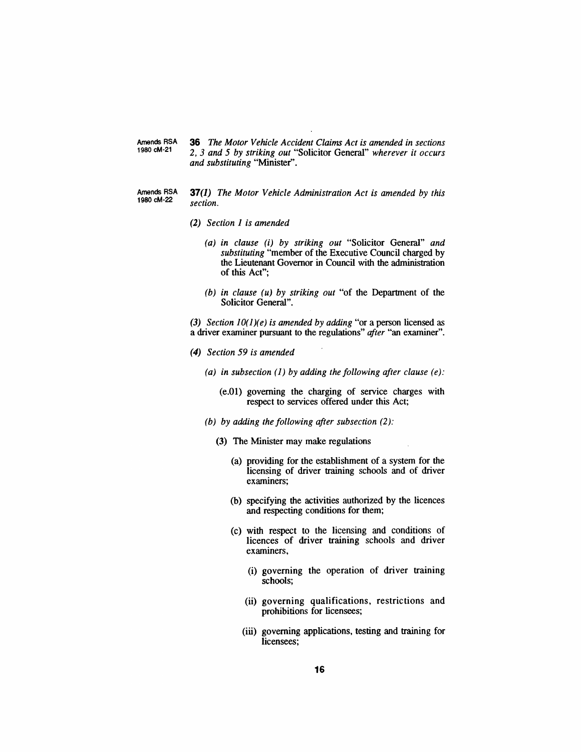Amends RSA 1980 cM-21 *36 The Motor Vehicle Accident Claims Act is amended in sections* 2, 3 *and* 5 *by striking out* "Solicitor General" *wherever it occurs and substituting* "Minister".

- Amends RSA 1980 cM-22 37(1) *The Motor Vehicle Administration Act is amended by this section.*
	- *(2) Section 1 is amended*
		- *(a) in clause* (i) *by striking out* "Solicitor General" *and substituting* "member of the Executive Council charged by the Lieutenant Governor in Council with the administration of this Act";
		- *(b) in clause (u) by striking out* "of the Deparunent of the Solicitor General".

*(3) Section 1O(1)(e) is amended by adding* "or a person licensed as a driver examiner pursuant to the regulations" *after* "an examiner".

- *(4) Section* 59 *is amended*
	- *(a) in subsection* (1) *by adding the following after clause (e):*
		- (e.O1) governing the charging of service charges with respect to services offered under this Act;
	- *(b) by adding the following after subsection* (2):
		- (3) The Minister may make regulations
			- (a) providing for the establishment of a system for the licensing of driver training schools and of driver examiners;
			- (b) specifying the activities authorized by the licences and respecting conditions for them;
			- (c) with respect to the licensing and conditions of licences of driver training schools and driver examiners,
				- (i) governing the operation of driver training schools;
				- (ii) governing qualifications, restrictions and prohibitions for licensees;
				- (iii) governing applications, testing and training for licensees;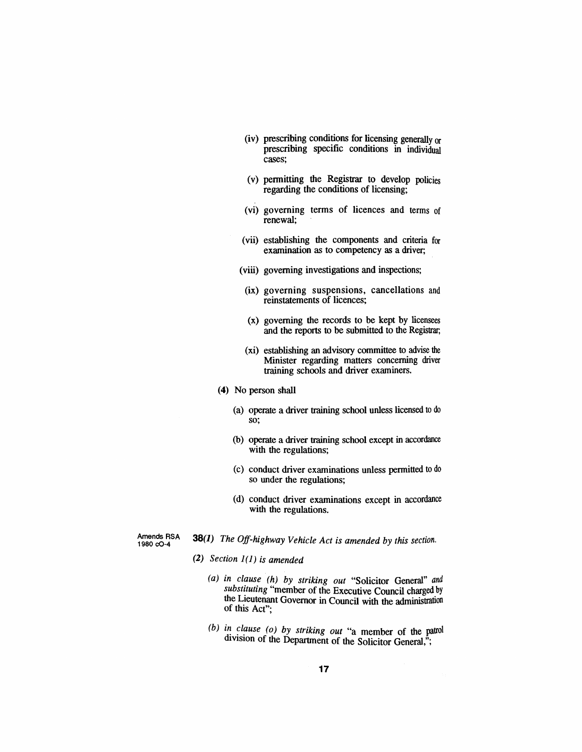- (iv) prescribing conditions for licensing generally or prescribing specific conditions in individual cases;
- (v) permitting the Registrar to develop policies regarding the conditions of licensing;
- (vi) governing terms of licences and terms of renewal;
- (vii) establishing the components and criteria for examination as to competency as a driver;
- (viii) governing investigations and inspections;
- (ix) governing suspensions, cancellations and reinstatements of licences;
- (x) governing the records to be kept by licensees and the reports to be submitted to the Registrar;
- (xi) establishing an advisory committee to advise the Minister regarding matters concerning driver training schools and driver examiners.
- (4) No person shall
	- (a) operate a driver training school unless licensed to do so;
	- (b) operate a driver training school except in accordance with the regulations:
	- (c) conduct driver examinations unless permitted to do so under the regulations;
	- (d) conduct driver examinations except in accordance with the regulations.

Amends RSA 1980 cO-4

- 38(1) *The Off-highway Vehicle Act is amended by this section.*
	- *(2) Section* 1*(1) is amended*
		- *(a) in clause (h) by striking out* "Solicitor General" *and substituting* "member of the Executive Council charged by the Lieutenant Governor in Council with the administration of this Act";
		- *(b)* in clause (o) by *striking out* "a member of the patrol division of the Department of the Solicitor General,";